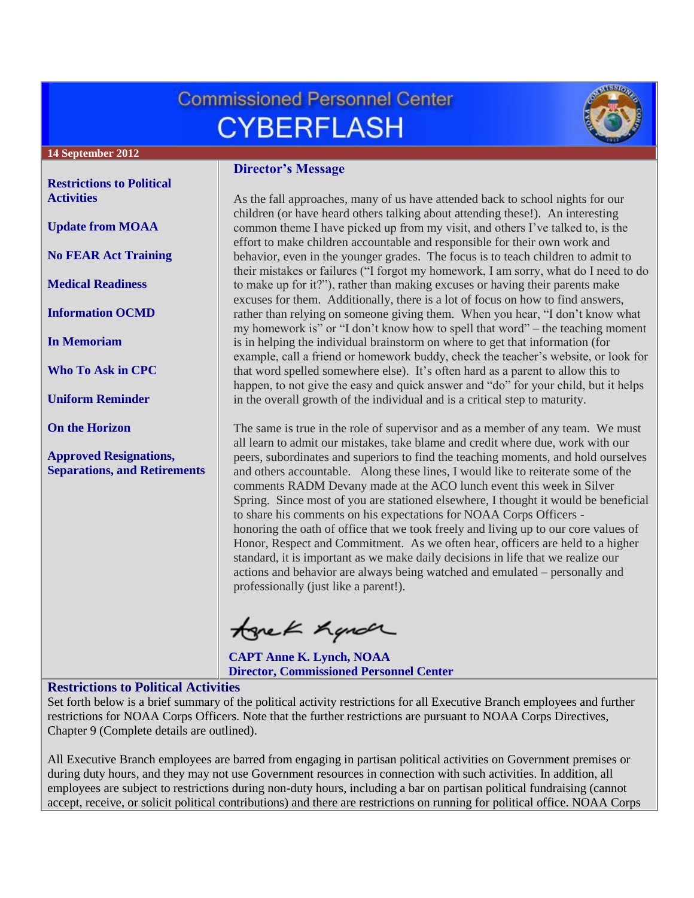# **Commissioned Personnel Center CYBERFLASH**



**14 September 2012**

#### **[Restrictions to Political](#page-0-0)  [Activities](#page-0-0)**

**[Update from MOAA](#page-1-0)**

**[No FEAR Act Training](#page-1-1)**

**[Medical Readiness](#page-1-2)**

**[Information OCMD](#page-2-0)**

**[In Memoriam](#page-2-1)**

**[Who To Ask in CPC](#page-3-0)**

**[Uniform Reminder](#page-3-1)**

**[On the Horizon](#page-3-2)**

**[Approved Resignations,](#page-3-3)  [Separations, and Retirements](#page-3-3)**

### **Director's Message**

As the fall approaches, many of us have attended back to school nights for our children (or have heard others talking about attending these!). An interesting common theme I have picked up from my visit, and others I've talked to, is the effort to make children accountable and responsible for their own work and behavior, even in the younger grades. The focus is to teach children to admit to their mistakes or failures ("I forgot my homework, I am sorry, what do I need to do to make up for it?"), rather than making excuses or having their parents make excuses for them. Additionally, there is a lot of focus on how to find answers, rather than relying on someone giving them. When you hear, "I don't know what my homework is" or "I don't know how to spell that word" – the teaching moment is in helping the individual brainstorm on where to get that information (for example, call a friend or homework buddy, check the teacher's website, or look for that word spelled somewhere else). It's often hard as a parent to allow this to happen, to not give the easy and quick answer and "do" for your child, but it helps in the overall growth of the individual and is a critical step to maturity.

The same is true in the role of supervisor and as a member of any team. We must all learn to admit our mistakes, take blame and credit where due, work with our peers, subordinates and superiors to find the teaching moments, and hold ourselves and others accountable. Along these lines, I would like to reiterate some of the comments RADM Devany made at the ACO lunch event this week in Silver Spring. Since most of you are stationed elsewhere, I thought it would be beneficial to share his comments on his expectations for NOAA Corps Officers honoring the oath of office that we took freely and living up to our core values of Honor, Respect and Commitment. As we often hear, officers are held to a higher standard, it is important as we make daily decisions in life that we realize our actions and behavior are always being watched and emulated – personally and professionally (just like a parent!).

tonek hande

**CAPT Anne K. Lynch, NOAA Director, Commissioned Personnel Center**

# <span id="page-0-0"></span>**Restrictions to Political Activities**

Set forth below is a brief summary of the political activity restrictions for all Executive Branch employees and further restrictions for NOAA Corps Officers. Note that the further restrictions are pursuant to NOAA Corps Directives, Chapter 9 (Complete details are outlined).

All Executive Branch employees are barred from engaging in partisan political activities on Government premises or during duty hours, and they may not use Government resources in connection with such activities. In addition, all employees are subject to restrictions during non-duty hours, including a bar on partisan political fundraising (cannot accept, receive, or solicit political contributions) and there are restrictions on running for political office. NOAA Corps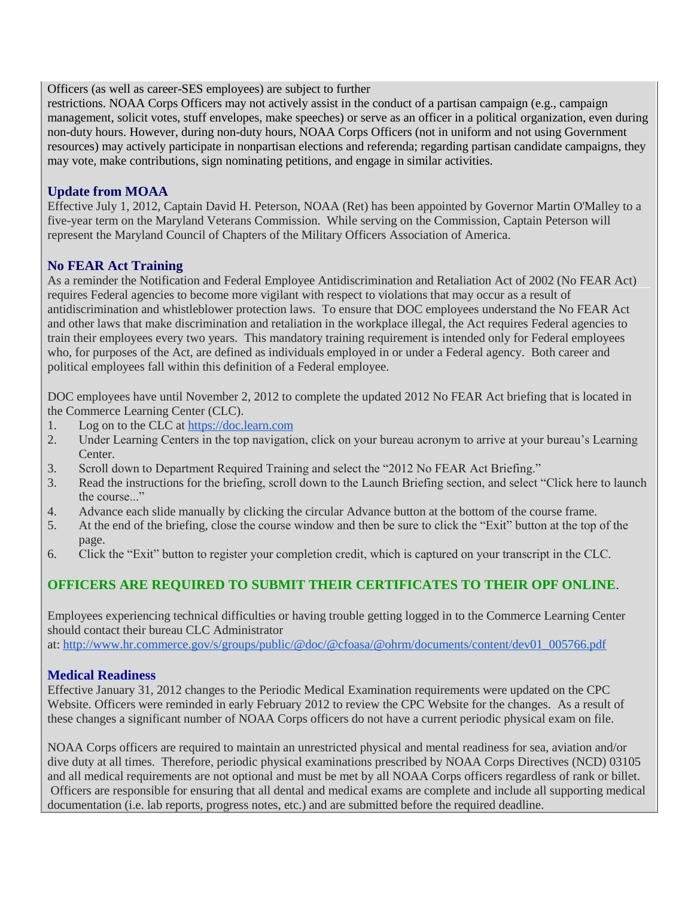Officers (as well as career-SES employees) are subject to further

restrictions. NOAA Corps Officers may not actively assist in the conduct of a partisan campaign (e.g., campaign management, solicit votes, stuff envelopes, make speeches) or serve as an officer in a political organization, even during non-duty hours. However, during non-duty hours, NOAA Corps Officers (not in uniform and not using Government resources) may actively participate in nonpartisan elections and referenda; regarding partisan candidate campaigns, they may vote, make contributions, sign nominating petitions, and engage in similar activities.

### <span id="page-1-0"></span>**Update from MOAA**

Effective July 1, 2012, Captain David H. Peterson, NOAA (Ret) has been appointed by Governor Martin O'Malley to a five-year term on the Maryland Veterans Commission. While serving on the Commission, Captain Peterson will represent the Maryland Council of Chapters of the Military Officers Association of America.

## <span id="page-1-1"></span>**No FEAR Act Training**

As a reminder the Notification and Federal Employee Antidiscrimination and Retaliation Act of 2002 (No FEAR Act) requires Federal agencies to become more vigilant with respect to violations that may occur as a result of antidiscrimination and whistleblower protection laws. To ensure that DOC employees understand the No FEAR Act and other laws that make discrimination and retaliation in the workplace illegal, the Act requires Federal agencies to train their employees every two years. This mandatory training requirement is intended only for Federal employees who, for purposes of the Act, are defined as individuals employed in or under a Federal agency. Both career and political employees fall within this definition of a Federal employee.

DOC employees have until November 2, 2012 to complete the updated 2012 No FEAR Act briefing that is located in the Commerce Learning Center (CLC).

- 1. Log on to the CLC at [https://doc.learn.com](https://doc.learn.com/)
- 2. Under Learning Centers in the top navigation, click on your bureau acronym to arrive at your bureau's Learning Center.
- 3. Scroll down to Department Required Training and select the "2012 No FEAR Act Briefing."
- 3. Read the instructions for the briefing, scroll down to the Launch Briefing section, and select "Click here to launch the course..."
- 4. Advance each slide manually by clicking the circular Advance button at the bottom of the course frame.
- 5. At the end of the briefing, close the course window and then be sure to click the "Exit" button at the top of the page.
- 6. Click the "Exit" button to register your completion credit, which is captured on your transcript in the CLC.

# **OFFICERS ARE REQUIRED TO SUBMIT THEIR CERTIFICATES TO THEIR OPF ONLINE**.

Employees experiencing technical difficulties or having trouble getting logged in to the Commerce Learning Center should contact their bureau CLC Administrator

at: [http://www.hr.commerce.gov/s/groups/public/@doc/@cfoasa/@ohrm/documents/content/dev01\\_005766.pdf](http://www.hr.commerce.gov/s/groups/public/@doc/@cfoasa/@ohrm/documents/content/dev01_005766.pdf)

#### <span id="page-1-2"></span>**Medical Readiness**

Effective January 31, 2012 changes to the Periodic Medical Examination requirements were updated on the CPC Website. Officers were reminded in early February 2012 to review the CPC Website for the changes. As a result of these changes a significant number of NOAA Corps officers do not have a current periodic physical exam on file.

NOAA Corps officers are required to maintain an unrestricted physical and mental readiness for sea, aviation and/or dive duty at all times. Therefore, periodic physical examinations prescribed by NOAA Corps Directives (NCD) 03105 and all medical requirements are not optional and must be met by all NOAA Corps officers regardless of rank or billet. Officers are responsible for ensuring that all dental and medical exams are complete and include all supporting medical documentation (i.e. lab reports, progress notes, etc.) and are submitted before the required deadline.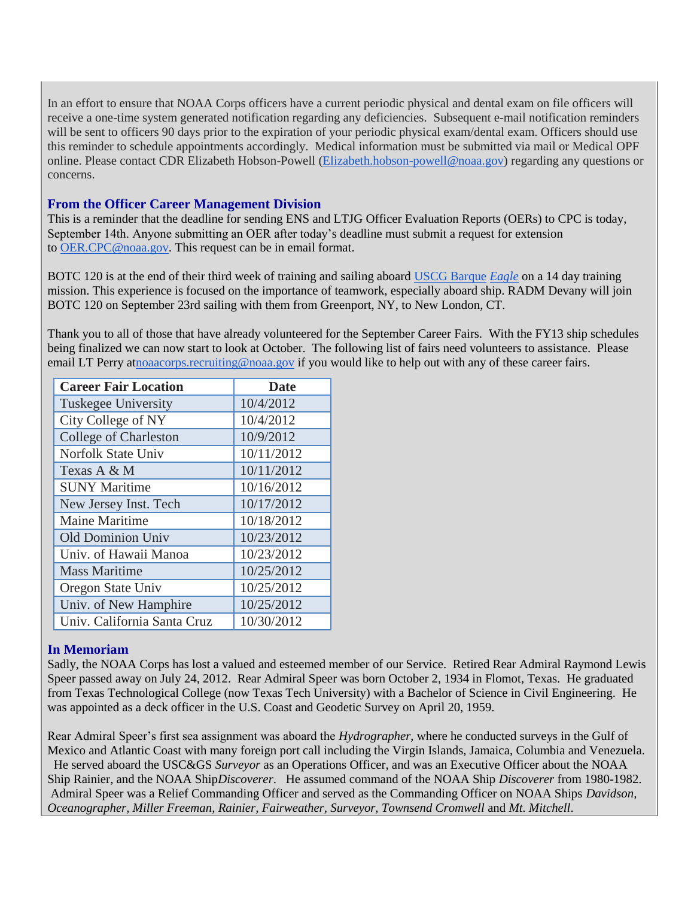In an effort to ensure that NOAA Corps officers have a current periodic physical and dental exam on file officers will receive a one-time system generated notification regarding any deficiencies. Subsequent e-mail notification reminders will be sent to officers 90 days prior to the expiration of your periodic physical exam/dental exam. Officers should use this reminder to schedule appointments accordingly. Medical information must be submitted via mail or Medical OPF online. Please contact CDR Elizabeth Hobson-Powell [\(Elizabeth.hobson-powell@noaa.gov\)](mailto:Elizabeth.hobson-powell@noaa.gov) regarding any questions or concerns.

#### <span id="page-2-0"></span>**From the Officer Career Management Division**

This is a reminder that the deadline for sending ENS and LTJG Officer Evaluation Reports (OERs) to CPC is today, September 14th. Anyone submitting an OER after today's deadline must submit a request for extension to [OER.CPC@noaa.gov.](mailto:OER.CPC@noaa.gov) This request can be in email format.

BOTC 120 is at the end of their third week of training and sailing aboard [USCG Barque](http://www.uscg.mil/datasheet/wixtrain.asp) *Eagle* on a 14 day training mission. This experience is focused on the importance of teamwork, especially aboard ship. RADM Devany will join BOTC 120 on September 23rd sailing with them from Greenport, NY, to New London, CT.

Thank you to all of those that have already volunteered for the September Career Fairs. With the FY13 ship schedules being finalized we can now start to look at October. The following list of fairs need volunteers to assistance. Please email LT Perry a[tnoaacorps.recruiting@noaa.gov](mailto:noaacorps.recruiting@noaa.gov) if you would like to help out with any of these career fairs.

| <b>Career Fair Location</b>  | <b>Date</b> |
|------------------------------|-------------|
| Tuskegee University          | 10/4/2012   |
| City College of NY           | 10/4/2012   |
| <b>College of Charleston</b> | 10/9/2012   |
| <b>Norfolk State Univ</b>    | 10/11/2012  |
| Texas A & M                  | 10/11/2012  |
| <b>SUNY Maritime</b>         | 10/16/2012  |
| New Jersey Inst. Tech        | 10/17/2012  |
| <b>Maine Maritime</b>        | 10/18/2012  |
| <b>Old Dominion Univ</b>     | 10/23/2012  |
| Univ. of Hawaii Manoa        | 10/23/2012  |
| <b>Mass Maritime</b>         | 10/25/2012  |
| Oregon State Univ            | 10/25/2012  |
| Univ. of New Hamphire        | 10/25/2012  |
| Univ. California Santa Cruz  | 10/30/2012  |

#### <span id="page-2-1"></span>**In Memoriam**

Sadly, the NOAA Corps has lost a valued and esteemed member of our Service. Retired Rear Admiral Raymond Lewis Speer passed away on July 24, 2012. Rear Admiral Speer was born October 2, 1934 in Flomot, Texas. He graduated from Texas Technological College (now Texas Tech University) with a Bachelor of Science in Civil Engineering. He was appointed as a deck officer in the U.S. Coast and Geodetic Survey on April 20, 1959.

Rear Admiral Speer's first sea assignment was aboard the *Hydrographer*, where he conducted surveys in the Gulf of Mexico and Atlantic Coast with many foreign port call including the Virgin Islands, Jamaica, Columbia and Venezuela. He served aboard the USC&GS *Surveyor* as an Operations Officer, and was an Executive Officer about the NOAA Ship Rainier, and the NOAA Ship*Discoverer*. He assumed command of the NOAA Ship *Discoverer* from 1980-1982. Admiral Speer was a Relief Commanding Officer and served as the Commanding Officer on NOAA Ships *Davidson, Oceanographer, Miller Freeman, Rainier, Fairweather, Surveyor, Townsend Cromwell* and *Mt. Mitchell*.